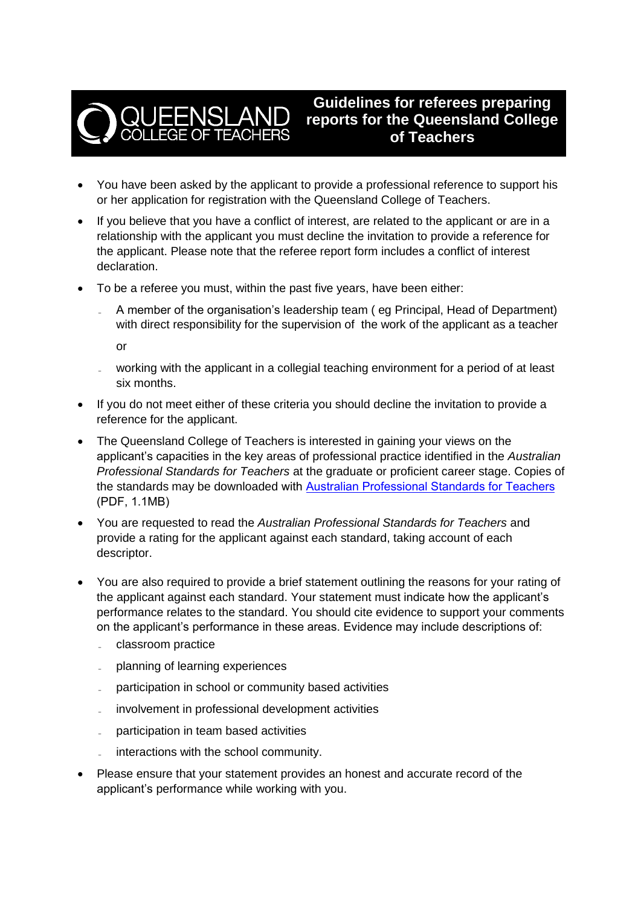

**Guidelines for referees preparing reports for the Queensland College of Teachers**

- You have been asked by the applicant to provide a professional reference to support his or her application for registration with the Queensland College of Teachers.
- If you believe that you have a conflict of interest, are related to the applicant or are in a relationship with the applicant you must decline the invitation to provide a reference for the applicant. Please note that the referee report form includes a conflict of interest declaration.
- To be a referee you must, within the past five years, have been either:
	- ˗ A member of the organisation's leadership team ( eg Principal, Head of Department) with direct responsibility for the supervision of the work of the applicant as a teacher

or

- ˗ working with the applicant in a collegial teaching environment for a period of at least six months.
- If you do not meet either of these criteria you should decline the invitation to provide a reference for the applicant.
- The Queensland College of Teachers is interested in gaining your views on the applicant's capacities in the key areas of professional practice identified in the *Australian Professional Standards for Teachers* at the graduate or proficient career stage. Copies of the standards may be downloaded with [Australian Professional Standards](http://www.qct.edu.au/Standards/view.html) [for Teachers](https://cdn.qct.edu.au/pdf/QCT_AustProfStandards.pdf)  (PDF, 1.1MB)
- You are requested to read the *Australian Professional Standards for Teachers* and provide a rating for the applicant against each standard, taking account of each descriptor.
- You are also required to provide a brief statement outlining the reasons for your rating of the applicant against each standard. Your statement must indicate how the applicant's performance relates to the standard. You should cite evidence to support your comments on the applicant's performance in these areas. Evidence may include descriptions of:
	- ˗ classroom practice
	- ˗ planning of learning experiences
	- participation in school or community based activities
	- involvement in professional development activities
	- ˗ participation in team based activities
	- interactions with the school community.
- Please ensure that your statement provides an honest and accurate record of the applicant's performance while working with you.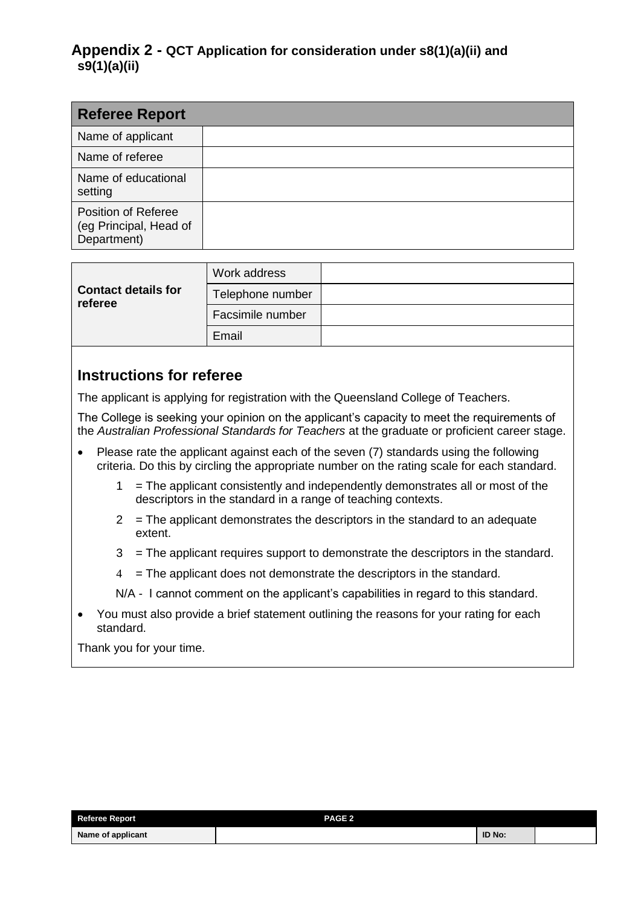| <b>Referee Report</b>                                               |  |
|---------------------------------------------------------------------|--|
| Name of applicant                                                   |  |
| Name of referee                                                     |  |
| Name of educational<br>setting                                      |  |
| <b>Position of Referee</b><br>(eg Principal, Head of<br>Department) |  |

|                                       | Work address     |  |
|---------------------------------------|------------------|--|
| <b>Contact details for</b><br>referee | Telephone number |  |
|                                       | Facsimile number |  |
|                                       | Email            |  |

### **Instructions for referee**

The applicant is applying for registration with the Queensland College of Teachers.

The College is seeking your opinion on the applicant's capacity to meet the requirements of the *Australian Professional Standards for Teachers* at the graduate or proficient career stage.

- Please rate the applicant against each of the seven (7) standards using the following criteria. Do this by circling the appropriate number on the rating scale for each standard.
	- $1 =$  The applicant consistently and independently demonstrates all or most of the descriptors in the standard in a range of teaching contexts.
	- $2 =$ The applicant demonstrates the descriptors in the standard to an adequate extent.
	- 3 = The applicant requires support to demonstrate the descriptors in the standard.
	- $4 =$ The applicant does not demonstrate the descriptors in the standard.

N/A - I cannot comment on the applicant's capabilities in regard to this standard.

 You must also provide a brief statement outlining the reasons for your rating for each standard.

Thank you for your time.

| <b>Referee Report</b> | <b>PAGE 2</b> |        |  |
|-----------------------|---------------|--------|--|
| Name of applicant     |               | ID No: |  |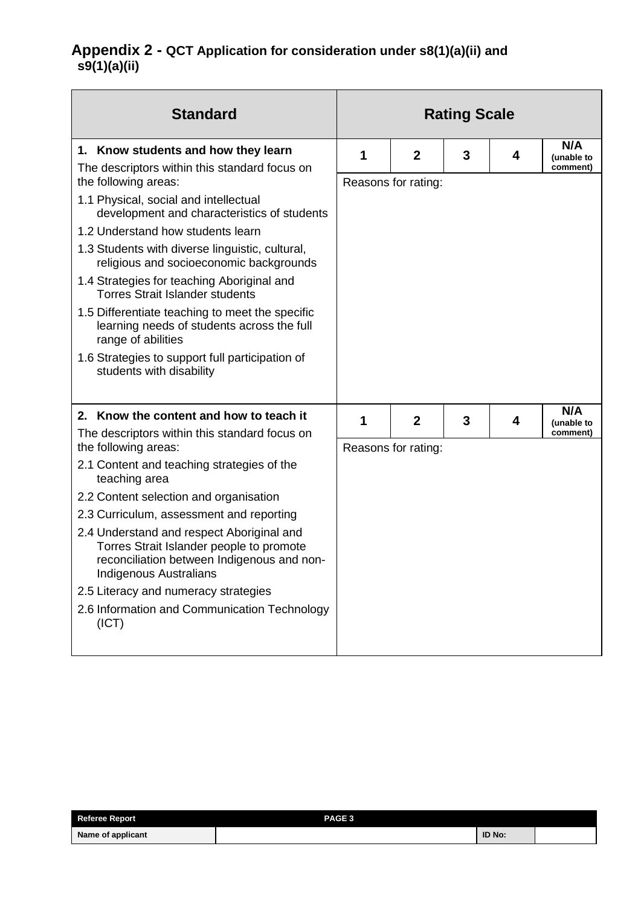| <b>Standard</b>                                                                                                                                               |   |                     | <b>Rating Scale</b> |   |                               |
|---------------------------------------------------------------------------------------------------------------------------------------------------------------|---|---------------------|---------------------|---|-------------------------------|
| 1. Know students and how they learn<br>The descriptors within this standard focus on                                                                          | 1 | $\mathbf{2}$        | 3                   | 4 | N/A<br>(unable to<br>comment) |
| the following areas:                                                                                                                                          |   | Reasons for rating: |                     |   |                               |
| 1.1 Physical, social and intellectual<br>development and characteristics of students                                                                          |   |                     |                     |   |                               |
| 1.2 Understand how students learn                                                                                                                             |   |                     |                     |   |                               |
| 1.3 Students with diverse linguistic, cultural,<br>religious and socioeconomic backgrounds                                                                    |   |                     |                     |   |                               |
| 1.4 Strategies for teaching Aboriginal and<br><b>Torres Strait Islander students</b>                                                                          |   |                     |                     |   |                               |
| 1.5 Differentiate teaching to meet the specific<br>learning needs of students across the full<br>range of abilities                                           |   |                     |                     |   |                               |
| 1.6 Strategies to support full participation of<br>students with disability                                                                                   |   |                     |                     |   |                               |
| 2. Know the content and how to teach it                                                                                                                       | 1 | $\mathbf{2}$        | 3                   | 4 | N/A<br>(unable to             |
| The descriptors within this standard focus on<br>the following areas:                                                                                         |   | Reasons for rating: |                     |   | comment)                      |
| 2.1 Content and teaching strategies of the<br>teaching area                                                                                                   |   |                     |                     |   |                               |
| 2.2 Content selection and organisation                                                                                                                        |   |                     |                     |   |                               |
| 2.3 Curriculum, assessment and reporting                                                                                                                      |   |                     |                     |   |                               |
| 2.4 Understand and respect Aboriginal and<br>Torres Strait Islander people to promote<br>reconciliation between Indigenous and non-<br>Indigenous Australians |   |                     |                     |   |                               |
| 2.5 Literacy and numeracy strategies                                                                                                                          |   |                     |                     |   |                               |
| 2.6 Information and Communication Technology<br>(ICT)                                                                                                         |   |                     |                     |   |                               |

| <b>Referee Report</b> | PAGE <sub>3</sub> |               |  |
|-----------------------|-------------------|---------------|--|
| Name of applicant     |                   | <b>ID No:</b> |  |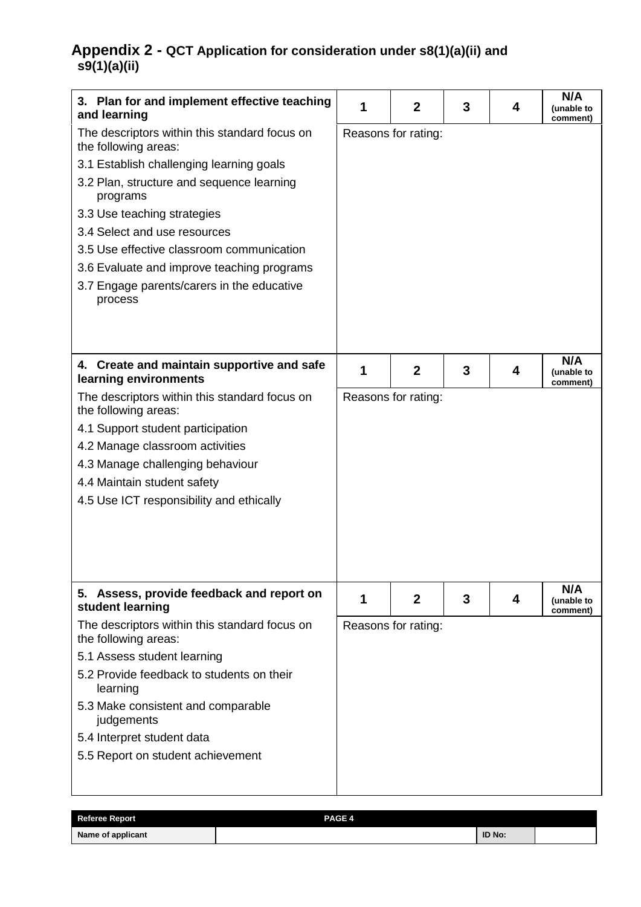| 3. Plan for and implement effective teaching<br>and learning                                                                                                                                                                                                                                                                                                                                  | 1 | $\mathbf{2}$        | 3 | 4 | N/A<br>(unable to<br>comment) |
|-----------------------------------------------------------------------------------------------------------------------------------------------------------------------------------------------------------------------------------------------------------------------------------------------------------------------------------------------------------------------------------------------|---|---------------------|---|---|-------------------------------|
| The descriptors within this standard focus on<br>the following areas:<br>3.1 Establish challenging learning goals<br>3.2 Plan, structure and sequence learning<br>programs<br>3.3 Use teaching strategies<br>3.4 Select and use resources<br>3.5 Use effective classroom communication<br>3.6 Evaluate and improve teaching programs<br>3.7 Engage parents/carers in the educative<br>process |   | Reasons for rating: |   |   |                               |
| 4. Create and maintain supportive and safe<br>learning environments                                                                                                                                                                                                                                                                                                                           | 1 | $\mathbf{2}$        | 3 | 4 | N/A<br>(unable to<br>comment) |
| the following areas:<br>4.1 Support student participation<br>4.2 Manage classroom activities<br>4.3 Manage challenging behaviour<br>4.4 Maintain student safety<br>4.5 Use ICT responsibility and ethically                                                                                                                                                                                   |   | Reasons for rating: |   |   |                               |
| 5. Assess, provide feedback and report on<br>student learning                                                                                                                                                                                                                                                                                                                                 | 1 | $\mathbf{2}$        | 3 | 4 | N/A<br>(unable to<br>comment) |
| The descriptors within this standard focus on<br>the following areas:<br>5.1 Assess student learning<br>5.2 Provide feedback to students on their<br>learning<br>5.3 Make consistent and comparable<br>judgements<br>5.4 Interpret student data<br>5.5 Report on student achievement                                                                                                          |   | Reasons for rating: |   |   |                               |

| <b>Referee Report</b> | PAGE 4 |        |  |
|-----------------------|--------|--------|--|
| Name of applicant     |        | ID No: |  |